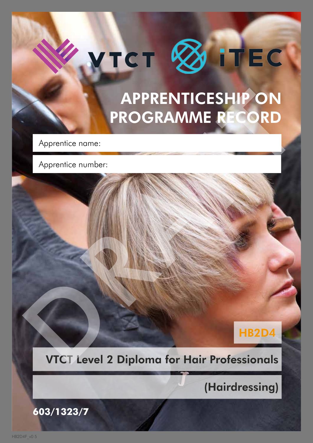# VTCT ØITEC

# APPRENTICESHIP ON PROGRAMME RECORD Apprentice number:<br>
Apprentice number:<br>
Apprentice number:<br>
Apprentice number:<br>
DROGRAMME RECORD<br>
PROGRAMME RECORD<br>
PROGRAMME RECORD<br>
PROGRAMME RECORD<br>
PROGRAMME RECORD<br>
PROGRAMME RECORD<br>
PROGRAMME RECORD<br>
PROGRAMME RECORD

Apprentice name:

Apprentice number:

#### HB2D4

#### VTCT Level 2 Diploma for Hair Professionals

(Hairdressing)

**603/1323/7**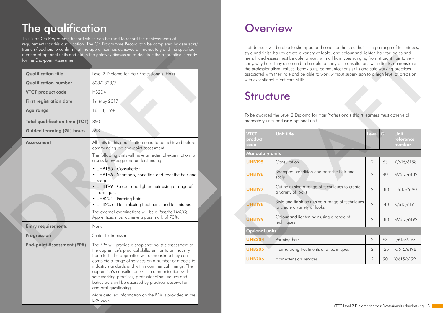This is an On Programme Record which can be used to record the achievements of requirements for this qualification. The On Programme Record can be completed by assessors/ trainers/teachers to confirm that the apprentice has achieved all mandatory and the specified number of optional units and aid in the gateway discussion to decide if the apprentice is ready for the End-point Assessment.

# The qualification

|  | for the End-point Assessment.                  | number of optional units and aid in the gateway discussion to decide it the apprentice is ready                                                                                                                                                                                                                                  |                                                                                           |                                                                                                                                                                                                                                                          | 31) 6 GHD 1111311 HOMEO CI COIC OF YOU'VE YOU TOOKS, ONIG COTOOL ONG INGHIBIT HOMEO TOGLOS ONG<br>men. Hairdressers must be able to work with all hair types ranging from straight hair to very<br>curly, wiry hair. They also need to be able to carry out consultations with clients, demonstrate |                |     |                            |  |
|--|------------------------------------------------|----------------------------------------------------------------------------------------------------------------------------------------------------------------------------------------------------------------------------------------------------------------------------------------------------------------------------------|-------------------------------------------------------------------------------------------|----------------------------------------------------------------------------------------------------------------------------------------------------------------------------------------------------------------------------------------------------------|-----------------------------------------------------------------------------------------------------------------------------------------------------------------------------------------------------------------------------------------------------------------------------------------------------|----------------|-----|----------------------------|--|
|  | <b>Qualification title</b>                     | Level 2 Diploma for Hair Professionals (Hair)                                                                                                                                                                                                                                                                                    |                                                                                           | the professionalism, values, behaviours, communications skills and safe working practices<br>associated with their role and be able to work without supervision to a high level of precision<br>with exceptional client care skills.<br><b>Structure</b> |                                                                                                                                                                                                                                                                                                     |                |     |                            |  |
|  | <b>Qualification number</b>                    | 603/1323/7                                                                                                                                                                                                                                                                                                                       |                                                                                           |                                                                                                                                                                                                                                                          |                                                                                                                                                                                                                                                                                                     |                |     |                            |  |
|  | <b>VTCT product code</b>                       | HB2D4                                                                                                                                                                                                                                                                                                                            |                                                                                           |                                                                                                                                                                                                                                                          |                                                                                                                                                                                                                                                                                                     |                |     |                            |  |
|  | 1st May 2017<br><b>First registration date</b> |                                                                                                                                                                                                                                                                                                                                  |                                                                                           |                                                                                                                                                                                                                                                          |                                                                                                                                                                                                                                                                                                     |                |     |                            |  |
|  | Age range                                      | $16-18, 19+$                                                                                                                                                                                                                                                                                                                     | To be awarded the Level 2 Diploma for Hair Professionals (Hair) learners must acheive all |                                                                                                                                                                                                                                                          |                                                                                                                                                                                                                                                                                                     |                |     |                            |  |
|  | <b>Total qualification time (TQT)</b>          | 850                                                                                                                                                                                                                                                                                                                              |                                                                                           | mandatory units and <b>one</b> optional unit.                                                                                                                                                                                                            |                                                                                                                                                                                                                                                                                                     |                |     |                            |  |
|  | <b>Guided learning (GL) hours</b>              | 693                                                                                                                                                                                                                                                                                                                              |                                                                                           | <b>VTCT</b>                                                                                                                                                                                                                                              | <b>Unit title</b>                                                                                                                                                                                                                                                                                   | Level GL       |     | <b>Unit</b>                |  |
|  | <b>Assessment</b>                              | All units in this qualification need to be achieved before<br>commencing the end-point assessment.                                                                                                                                                                                                                               |                                                                                           | product<br>code                                                                                                                                                                                                                                          |                                                                                                                                                                                                                                                                                                     |                |     | <b>reference</b><br>number |  |
|  |                                                | The following units will have an external examination to                                                                                                                                                                                                                                                                         |                                                                                           |                                                                                                                                                                                                                                                          |                                                                                                                                                                                                                                                                                                     |                |     |                            |  |
|  |                                                | assess knowledge and understanding:                                                                                                                                                                                                                                                                                              |                                                                                           | <b>UHB195</b>                                                                                                                                                                                                                                            | Consultation                                                                                                                                                                                                                                                                                        | $\overline{2}$ | 63  | K/615/6188                 |  |
|  |                                                | • UHB195 - Consultation<br>• UHB196 - Shampoo, condition and treat the hair and<br>scalp                                                                                                                                                                                                                                         |                                                                                           | <b>UHB196</b>                                                                                                                                                                                                                                            | Shampoo, condition and treat the hair and<br>scalp                                                                                                                                                                                                                                                  | $\overline{2}$ | 40  | M/615/618                  |  |
|  |                                                | • UHB199 - Colour and lighten hair using a range of<br>techniques                                                                                                                                                                                                                                                                |                                                                                           | <b>UHB197</b>                                                                                                                                                                                                                                            | Cut hair using a range of techniques to create<br>a variety of looks                                                                                                                                                                                                                                | $\overline{2}$ | 180 | H/615/6190                 |  |
|  |                                                | • UHB204 - Perming hair<br>• UHB205 - Hair relaxing treatments and techniques                                                                                                                                                                                                                                                    |                                                                                           | <b>UHB198</b>                                                                                                                                                                                                                                            | Style and finish hair using a range of techniques<br>to create a variety of looks                                                                                                                                                                                                                   | $\overline{2}$ | 140 | K/615/6191                 |  |
|  |                                                | The external examinations will be a Pass/Fail MCQ.<br>Apprentices must achieve a pass mark of 70%.                                                                                                                                                                                                                               |                                                                                           | <b>UHB199</b>                                                                                                                                                                                                                                            | Colour and lighten hair using a range of<br>techniques                                                                                                                                                                                                                                              |                |     | 180   M/615/619            |  |
|  | <b>Entry requirements</b>                      | None                                                                                                                                                                                                                                                                                                                             |                                                                                           | <b>Optional units</b>                                                                                                                                                                                                                                    |                                                                                                                                                                                                                                                                                                     |                |     |                            |  |
|  | Progression                                    | Senior Hairdresser                                                                                                                                                                                                                                                                                                               |                                                                                           | <b>UHB204</b>                                                                                                                                                                                                                                            | Perming hair                                                                                                                                                                                                                                                                                        | $\overline{2}$ | 93  | L/615/6197                 |  |
|  | <b>End-point Assessment (EPA)</b>              | The EPA will provide a snap shot holistic assessment of<br>the apprentice's practical skills, similar to an industry                                                                                                                                                                                                             |                                                                                           | <b>UHB205</b>                                                                                                                                                                                                                                            | Hair relaxing treatments and techniques                                                                                                                                                                                                                                                             | $\overline{2}$ | 125 | R/615/6198                 |  |
|  |                                                | trade test. The apprentice will demonstrate they can<br>complete a range of services on a number of models to                                                                                                                                                                                                                    |                                                                                           | <b>UHB206</b>                                                                                                                                                                                                                                            | Hair extension services                                                                                                                                                                                                                                                                             | $\overline{2}$ | 90  | Y/615/6199                 |  |
|  |                                                | industry standards and within commerical timings. The<br>apprentice's consultation skills, communication skills,<br>safe working practices, professionalism, values and<br>behaviours will be assessed by practical observation<br>and oral questioning.<br>More detailed information on the EPA is provided in the<br>EPA pack. |                                                                                           |                                                                                                                                                                                                                                                          |                                                                                                                                                                                                                                                                                                     |                |     |                            |  |

## **Overview**

Hairdressers will be able to shampoo and condition hair, cut hair using a range of techniques, style and finish hair to create a variety of looks, and colour and lighten hair for ladies and men. Hairdressers must be able to work with all hair types ranging from straight hair to very curly, wiry hair. They also need to be able to carry out consultations with clients, demonstrate the professionalism, values, behaviours, communications skills and safe working practices associated with their role and be able to work without supervision to a high level of precision, with exceptional client care skills.

## **Structure**

| men. Hairdressers must be able to work with all hair types ranging from straight hair to very<br>curly, wiry hair. They also need to be able to carry out consultations with clients, demonstrate<br>the professionalism, values, behaviours, communications skills and safe working practices<br>associated with their role and be able to work without supervision to a high level of precision,<br>with exceptional client care skills. |                                                                                                                                            |                |     |                             |  |
|--------------------------------------------------------------------------------------------------------------------------------------------------------------------------------------------------------------------------------------------------------------------------------------------------------------------------------------------------------------------------------------------------------------------------------------------|--------------------------------------------------------------------------------------------------------------------------------------------|----------------|-----|-----------------------------|--|
| <b>Structure</b>                                                                                                                                                                                                                                                                                                                                                                                                                           |                                                                                                                                            |                |     |                             |  |
|                                                                                                                                                                                                                                                                                                                                                                                                                                            | To be awarded the Level 2 Diploma for Hair Professionals (Hair) learners must acheive all<br>mandatory units and <b>one</b> optional unit. |                |     |                             |  |
| <b>VTCT</b><br>product<br>code                                                                                                                                                                                                                                                                                                                                                                                                             | <b>Unit title</b>                                                                                                                          | Level          | GL  | Unit<br>reference<br>number |  |
| <b>Mandatory units</b>                                                                                                                                                                                                                                                                                                                                                                                                                     |                                                                                                                                            |                |     |                             |  |
| <b>UHB195</b>                                                                                                                                                                                                                                                                                                                                                                                                                              | Consultation                                                                                                                               | $\overline{2}$ | 63  | K/615/6188                  |  |
| <b>UHB196</b>                                                                                                                                                                                                                                                                                                                                                                                                                              | Shampoo, condition and treat the hair and<br>scalp                                                                                         | $\overline{2}$ | 40  | M/615/6189                  |  |
| <b>UHB197</b>                                                                                                                                                                                                                                                                                                                                                                                                                              | Cut hair using a range of techniques to create<br>a variety of looks                                                                       | $\overline{2}$ | 180 | H/615/6190                  |  |
| <b>UHB198</b>                                                                                                                                                                                                                                                                                                                                                                                                                              | Style and finish hair using a range of techniques<br>to create a variety of looks                                                          | $\overline{2}$ | 140 | K/615/6191                  |  |
| <b>UHB199</b>                                                                                                                                                                                                                                                                                                                                                                                                                              | Colour and lighten hair using a range of<br>techniques                                                                                     | 2              | 180 | M/615/6192                  |  |
| <b>Optional</b> units                                                                                                                                                                                                                                                                                                                                                                                                                      |                                                                                                                                            |                |     |                             |  |
| <b>UHB204</b>                                                                                                                                                                                                                                                                                                                                                                                                                              | Perming hair                                                                                                                               | $\overline{2}$ | 93  | L/615/6197                  |  |
| <b>UHB205</b>                                                                                                                                                                                                                                                                                                                                                                                                                              | Hair relaxing treatments and techniques                                                                                                    | $\overline{2}$ | 125 | R/615/6198                  |  |
| <b>UHB206</b>                                                                                                                                                                                                                                                                                                                                                                                                                              | Hair extension services                                                                                                                    | $\overline{2}$ | 90  | Y/615/6199                  |  |
|                                                                                                                                                                                                                                                                                                                                                                                                                                            |                                                                                                                                            |                |     |                             |  |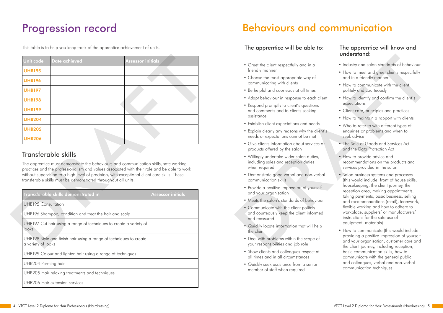#### Behaviours and communication

#### The apprentice will be able to: The apprentice will know and

- Greet the client respectfully and in a friendly manner
- Choose the most appropriate way of communicating with clients
- Be helpful and courteous at all times
- Adapt behaviour in response to each client
- Respond promptly to client's questions and comments and to clients seeking assistance
- Establish client expectations and needs
- Explain clearly any reasons why the client's needs or expectations cannot be met
- Give clients information about services or products offered by the salon
- Willingly undertake wider salon duties, including sales and reception duties when required
- Demonstrate good verbal and non-verbal communication skills
- Provide a positive impression of yourself and your organisation
- Meets the salon's standards of behaviour
- Communicate with the client politely and courteously keep the client informed and reassured
- Quickly locate information that will help the client
- Deal with problems within the scope of your responsibilities and job role
- Show clients and colleagues respect at all times and in all circumstances
- Quickly seek assistance from a senior member of staff when required
- Industry and salon standards of behaviour
- How to meet and greet clients respectfully and in a friendly manner
- How to communicate with the client politely and courteously
- How to identify and confirm the client's expectations
- Client care, principles and practices
- How to maintain a rapport with clients
- Who to refer to with different types of enquiries or problems and when to seek advice
- The Sale of Goods and Services Act and the Data Protection Act
- How to provide advice and recommendations on the products and services provided in the salon
- Salon business systems and processes (this would include: front of house skills, housekeeping, the client journey, the reception area, making appointments, taking payments, basic business, selling and recommendations (retail), teamwork, flexible working and how to adhere to workplace, suppliers' or manufacturers' instructions for the safe use of equipment, materials) Coco the dient respectible wat in a third yield in a third yield a standards of behaviour lineally manner<br>
Coose the mest appendints way of the broken and in a finantly manner<br>
Choose the mest and the finantly manner<br>
Se h
	- How to communicate (this would include: providing a positive impression of yourself and your organisation, customer care and the client journey, including reception, basic communication skills, how to communicate with the general public and colleagues, verbal and non-verbal communication techniques

## understand:

# Progression record

This table is to help you keep track of the apprentice achievement of units.

#### Transferable skills

| Unit code                  | <b>Date achieved</b>                                                                                                                                                                                                                                                                                                                                   | <b>Assessor initials</b> |
|----------------------------|--------------------------------------------------------------------------------------------------------------------------------------------------------------------------------------------------------------------------------------------------------------------------------------------------------------------------------------------------------|--------------------------|
| <b>UHB195</b>              |                                                                                                                                                                                                                                                                                                                                                        |                          |
| <b>UHB196</b>              |                                                                                                                                                                                                                                                                                                                                                        |                          |
| <b>UHB197</b>              |                                                                                                                                                                                                                                                                                                                                                        |                          |
| <b>UHB198</b>              |                                                                                                                                                                                                                                                                                                                                                        |                          |
| <b>UHB199</b>              |                                                                                                                                                                                                                                                                                                                                                        |                          |
| <b>UHB204</b>              |                                                                                                                                                                                                                                                                                                                                                        |                          |
| <b>UHB205</b>              |                                                                                                                                                                                                                                                                                                                                                        |                          |
| <b>UHB206</b>              |                                                                                                                                                                                                                                                                                                                                                        |                          |
|                            | Transferable skills                                                                                                                                                                                                                                                                                                                                    |                          |
|                            | The apprentice must demonstrate the behaviours and communication skills, safe working<br>practices and the professionalism and values associated with their role and be able to work<br>without supervision to a high level of precision, with exceptional client care skills. These<br>transferable skills must be demonstrated throughout all units. |                          |
|                            | Transderable skills demonstrated in                                                                                                                                                                                                                                                                                                                    | <b>Assessor initials</b> |
| <b>UHB195 Consultation</b> |                                                                                                                                                                                                                                                                                                                                                        |                          |
|                            | UHB196 Shampoo, condition and treat the hair and scalp                                                                                                                                                                                                                                                                                                 |                          |
| looks                      | UHB197 Cut hair using a range of techniques to create a variety of                                                                                                                                                                                                                                                                                     |                          |

| Transderable skills demonstrated in                                                      | <b>Assessor initials</b> |
|------------------------------------------------------------------------------------------|--------------------------|
| <b>UHB195 Consultation</b>                                                               |                          |
| UHB196 Shampoo, condition and treat the hair and scalp                                   |                          |
| UHB197 Cut hair using a range of techniques to create a variety of<br>looks              |                          |
| UHB198 Style and finish hair using a range of techniques to create<br>a variety of looks |                          |
| UHB199 Colour and lighten hair using a range of techniques                               |                          |
| UHB204 Perming hair                                                                      |                          |
| UHB205 Hair relaxing treatments and techniques                                           |                          |
| UHB206 Hair extension services                                                           |                          |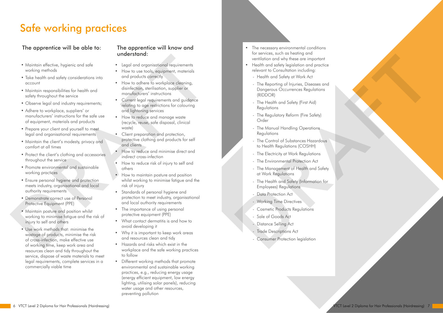# Safe working practices

- Legal and organisational requirements
- How to use tools, equipment, materials and products correctly
- How to adhere to workplace cleaning, disinfection, sterilisation, supplier or manufacturers' instructions
- Current legal requirements and guidance relating to age restrictions for colouring and lightening services
- How to reduce and manage waste (recycle, reuse, safe disposal, clinical waste)
- Client preparation and protection, protective clothing and products for self and clients
- How to reduce and minimise direct and indirect cross-infection
- How to reduce risk of injury to self and others
- How to maintain posture and position whilst working to minimise fatigue and the risk of injury
- Standards of personal hygiene and protection to meet industry, organisational and local authority requirements
- The importance of using personal protective equipment (PPE)
- What contact dermatitis is and how to avoid developing it
- Why it is important to keep work areas and resources clean and tidy
- Hazards and risks which exist in the workplace and the safe working practices to follow
- Different working methods that promote environmental and sustainable working practices, e.g., reducing energy usage (energy efficient equipment, low energy lighting, utilising solar panels), reducing water usage and other resources, preventing pollution

#### The apprentice will be able to: The apprentice will know and

- Maintain effective, hygienic and safe working methods
- Take health and safety considerations into account
- Maintain responsibilities for health and safety throughout the service
- Observe legal and industry requirements;
- Adhere to workplace, suppliers' or manufacturers' instructions for the safe use of equipment, materials and products
- Prepare your client and yourself to meet legal and organisational requirements
- Maintain the client's modesty, privacy and comfort at all times
- Protect the client's clothing and accessories throughout the service
- Promote environmental and sustainable working practices
- Ensure personal hygiene and protection meets industry, organisational and local authority requirements
- Demonstrate correct use of Personal Protective Equipment (PPE)
- Maintain posture and position whilst working to minimise fatigue and the risk of injury to self and others
- Use work methods that: minimise the wastage of products, minimise the risk of cross-infection, make effective use of working time, keep work area and resources clean and tidy throughout the service, dispose of waste materials to meet legal requirements, complete services in a commercially viable time vectors of the system of the system of the system of the system of the system of the system of the system of the system of the system of the system of the system of the system of the system of the system of the system of

# understand:

- The necessary environmental conditions for services, such as heating and ventilation and why these are important
- Health and safety legislation and practice relevant to Consultation including:
	- Health and Safety at Work Act
- The Reporting of Injuries, Diseases and Dangerous Occurrences Regulations (RIDDOR) is viewtoo, sou to simulate the membership of the membership relations and proference relations to the Reporting China Salely of Work Act<br>
- The Reporting China Indianse.<br>
Desperting China Salely of Work Act<br>
- The Reporti
	- The Health and Safety (First Aid) **Regulations**
	- The Regulatory Reform (Fire Safety) Order
	- The Manual Handling Operations **Regulations**
	- The Control of Substances Hazardous to Health Regulations (COSHH)
	- The Electricity at Work Regulations
	- The Environmental Protection Act
	- The Management of Health and Safety at Work Regulations
	- The Health and Safety (Information for Employees) Regulations
	- Data Protection Act
	- Working Time Directives
	- Cosmetic Products Regulations
	- Sale of Goods Act
	- Distance Selling Act
	- **Trade Descriptions Act**
	- Consumer Protection legislation